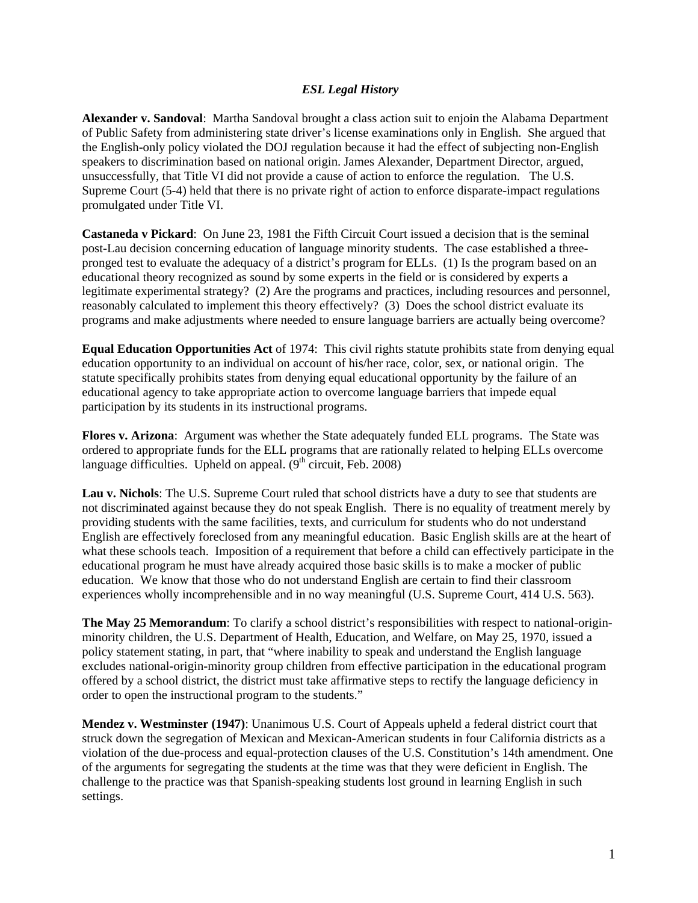## *ESL Legal History*

**Alexander v. Sandoval**: Martha Sandoval brought a class action suit to enjoin the Alabama Department of Public Safety from administering state driver's license examinations only in English. She argued that the English-only policy violated the DOJ regulation because it had the effect of subjecting non-English speakers to discrimination based on national origin. James Alexander, Department Director, argued, unsuccessfully, that Title VI did not provide a cause of action to enforce the regulation. The U.S. Supreme Court (5-4) held that there is no private right of action to enforce disparate-impact regulations promulgated under Title VI.

**Castaneda v Pickard**: On June 23, 1981 the Fifth Circuit Court issued a decision that is the seminal post-Lau decision concerning education of language minority students. The case established a threepronged test to evaluate the adequacy of a district's program for ELLs. (1) Is the program based on an educational theory recognized as sound by some experts in the field or is considered by experts a legitimate experimental strategy? (2) Are the programs and practices, including resources and personnel, reasonably calculated to implement this theory effectively? (3) Does the school district evaluate its programs and make adjustments where needed to ensure language barriers are actually being overcome?

**Equal Education Opportunities Act** of 1974: This civil rights statute prohibits state from denying equal education opportunity to an individual on account of his/her race, color, sex, or national origin. The statute specifically prohibits states from denying equal educational opportunity by the failure of an educational agency to take appropriate action to overcome language barriers that impede equal participation by its students in its instructional programs.

**Flores v. Arizona**: Argument was whether the State adequately funded ELL programs. The State was ordered to appropriate funds for the ELL programs that are rationally related to helping ELLs overcome language difficulties. Upheld on appeal.  $(9<sup>th</sup> circuit, Feb. 2008)$ 

**Lau v. Nichols**: The U.S. Supreme Court ruled that school districts have a duty to see that students are not discriminated against because they do not speak English. There is no equality of treatment merely by providing students with the same facilities, texts, and curriculum for students who do not understand English are effectively foreclosed from any meaningful education. Basic English skills are at the heart of what these schools teach. Imposition of a requirement that before a child can effectively participate in the educational program he must have already acquired those basic skills is to make a mocker of public education. We know that those who do not understand English are certain to find their classroom experiences wholly incomprehensible and in no way meaningful (U.S. Supreme Court, 414 U.S. 563).

**The May 25 Memorandum**: To clarify a school district's responsibilities with respect to national-originminority children, the U.S. Department of Health, Education, and Welfare, on May 25, 1970, issued a policy statement stating, in part, that "where inability to speak and understand the English language excludes national-origin-minority group children from effective participation in the educational program offered by a school district, the district must take affirmative steps to rectify the language deficiency in order to open the instructional program to the students."

**Mendez v. Westminster (1947)**: Unanimous U.S. Court of Appeals upheld a federal district court that struck down the segregation of Mexican and Mexican-American students in four California districts as a violation of the due-process and equal-protection clauses of the U.S. Constitution's 14th amendment. One of the arguments for segregating the students at the time was that they were deficient in English. The challenge to the practice was that Spanish-speaking students lost ground in learning English in such settings.